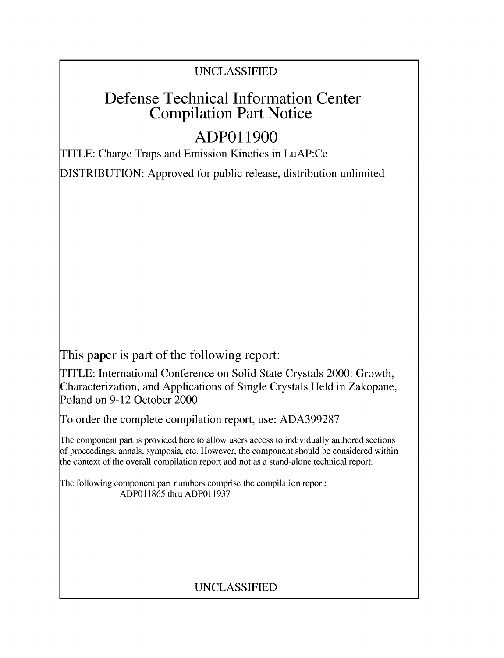### UNCLASSIFIED

## Defense Technical Information Center Compilation Part Notice

# **ADPO 11900**

TITLE: Charge Traps and Emission Kinetics in LuAP:Ce

DISTRIBUTION: Approved for public release, distribution unlimited

This paper is part of the following report:

TITLE: International Conference on Solid State Crystals 2000: Growth, Characterization, and Applications of Single Crystals Held in Zakopane, Poland on 9-12 October 2000

To order the complete compilation report, use: ADA399287

The component part is provided here to allow users access to individually authored sections f proceedings, annals, symposia, etc. However, the component should be considered within [he context of the overall compilation report and not as a stand-alone technical report.

The following component part numbers comprise the compilation report: ADP011865 thru ADP011937

## UNCLASSIFIED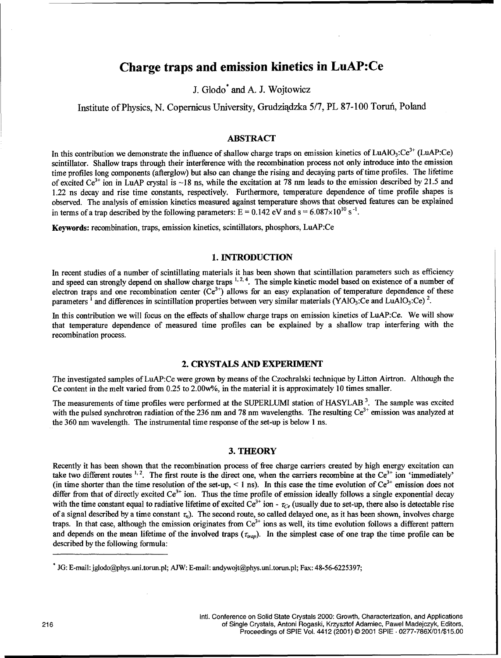### Charge traps and emission kinetics in LuAP:Ce

J. Glodo\* and **A.** J. Wojtowicz

Institute of Physics, N. Copernicus University, Grudziadzka 5/7, PL 87-100 Toruń, Poland

#### ABSTRACT

In this contribution we demonstrate the influence of shallow charge traps on emission kinetics of  $LuAlO<sub>3</sub>:Ce<sup>3+</sup> (LuAP:Ce)$ scintillator. Shallow traps through their interference with the recombination process not only introduce into the emission time profiles long components (afterglow) but also can change the rising and decaying parts of time profiles. The lifetime of excited  $Ce^{3+}$  ion in LuAP crystal is  $\sim 18$  ns, while the excitation at 78 nm leads to the emission described by 21.5 and 1.22 ns decay and rise time constants, respectively. Furthermore, temperature dependence of time profile shapes is observed. The analysis of emission kinetics measured against temperature shows that observed features can be explained in terms of a trap described by the following parameters:  $E = 0.142$  eV and  $s = 6.087 \times 10^{10}$  s<sup>-1</sup>.

Keywords: recombination, traps, emission kinetics, scintillators, phosphors, LuAP:Ce

#### 1. **INTRODUCTION**

In recent studies of a number of scintillating materials it has been shown that scintillation parameters such as efficiency and speed can strongly depend on shallow charge traps <sup>1, 2, 4</sup>. The simple kinetic model based on existence of a number of electron traps and one recombination center  $(Ce<sup>3+</sup>)$  allows for an easy explanation of temperature dependence of these parameters <sup>1</sup> and differences in scintillation properties between very similar materials (YAIO<sub>3</sub>:Ce and LuAIO<sub>3</sub>:Ce)<sup>2</sup>.

In this contribution we will focus on the effects of shallow charge traps on emission kinetics of LuAP:Ce. We will show that temperature dependence of measured time profiles can be explained by a shallow trap interfering with the recombination process.

#### 2. CRYSTALS **AND** EXPERIMENT

The investigated samples of LuAP:Ce were grown by means of the Czochralski technique by Litton Airtron. Although the Ce content in the melt varied from  $0.25$  to  $2.00w\%$ , in the material it is approximately 10 times smaller.

The measurements of time profiles were performed at the SUPERLUMI station of HASYLAB **3.** The sample was excited with the pulsed synchrotron radiation of the 236 nm and 78 nm wavelengths. The resulting Ce<sup>3+</sup> emission was analyzed at the 360 nm wavelength. The instrumental time response of the set-up is below I ns.

#### 3. THEORY

Recently it has been shown that the recombination process of free charge carriers created by high energy excitation can take two different routes  $^{1,2}$ . The first route is the direct one, when the carriers recombine at the Ce<sup>3+</sup> ion 'immediately' (in time shorter than the time resolution of the set-up,  $\lt 1$  ns). In this case the time evolution of  $Ce^{3+}$  emission does not differ from that of directly excited  $Ce^{3+}$  ion. Thus the time profile of emission ideally follows a single exponential decay with the time constant equal to radiative lifetime of excited  $Ce^{3+}$  ion  $- \tau_{Ce}$  (usually due to set-up, there also is detectable rise of a signal described by a time constant  $\tau_n$ ). The second route, so called delayed one, as it has been shown, involves charge traps. In that case, although the emission originates from  $Ce^{3+}$  ions as well, its time evolution follows a different pattern and depends on the mean lifetime of the involved traps  $(\tau_{trap})$ . In the simplest case of one trap the time profile can be described by the following formula:

Intl. Conference on Solid State Crystals 2000: Growth, Characterization, and Applications 216 of Single Crystals, Antoni Rogaski, Krzysztof Adamiec, Pawel Madejczyk, Editors, Proceedings of SPIE Vol. 4412 (2001) © 2001 SPIE • 0277-786X/01/\$15.00

<sup>\*</sup> JG: E-mail: jglodo@phys.uni.torun.pl; **AMW:** E-mail: andywojt@phys.uni.torun.pl; Fax: 48-56-6225397;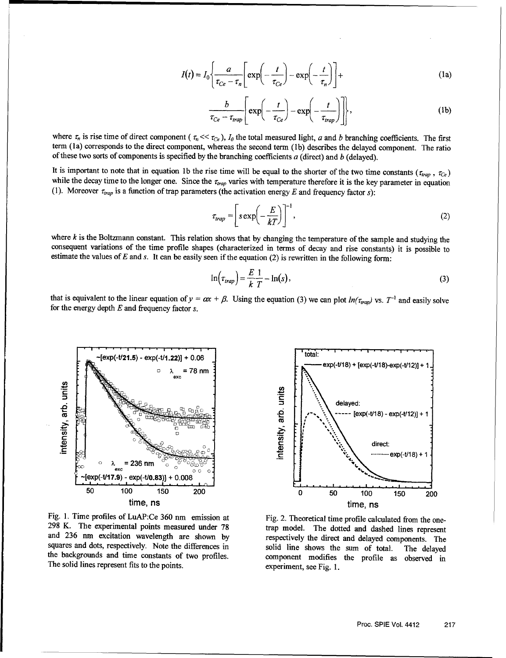$$
I(t) = I_0 \left\{ \frac{a}{\tau_{Ce} - \tau_n} \left[ \exp\left(-\frac{t}{\tau_{Ce}}\right) - \exp\left(-\frac{t}{\tau_n}\right) \right] + \right\}
$$
 (1a)

$$
\frac{b}{\tau_{Ce} - \tau_{trap}} \left[ \exp\left(-\frac{t}{\tau_{Ce}}\right) - \exp\left(-\frac{t}{\tau_{trap}}\right) \right],
$$
 (1b)

where  $\tau_n$  is rise time of direct component  $(\tau_n \ll \tau_{Ce})$ ,  $I_0$  the total measured light, a and b branching coefficients. The first term (la) corresponds to the direct component, whereas the second term (lb) describes the delayed component. The ratio of these two sorts of components is specified by the branching coefficients  $a$  (direct) and  $b$  (delayed).

It is important to note that in equation 1b the rise time will be equal to the shorter of the two time constants ( $\tau_{trap}$ ,  $\tau_{Ce}$ ) while the decay time to the longer one. Since the  $\tau_{trap}$  varies with temperature therefo

$$
\tau_{trap} = \left[ s \exp\left(-\frac{E}{kT}\right) \right]^{-1},\tag{2}
$$

where  $k$  is the Boltzmann constant. This relation shows that by changing the temperature of the sample and studying the consequent variations of the time profile shapes (characterized in terms of decay and rise constants) it is possible to estimate the values of  $E$  and  $s$ . It can be easily seen if the equation  $(2)$  is rewritten in the following form:

$$
\ln(\tau_{trap}) = \frac{E}{k} \frac{1}{T} - \ln(s),\tag{3}
$$

that is equivalent to the linear equation of  $y = \alpha x + \beta$ . Using the equation (3) we can plot  $ln(\tau_{trap})$  vs. T<sup>-1</sup> and easily solve for the energy depth E and frequency factor *s.*



Fig. 1. Time profiles of LuAP:Ce 360 nm emission at Fig. 2. Theoretical time profile calculated from the one-298 K. The experimental points measured under 78 trap model. The dotted and dashed lines represent and 236 nm excitation wavelength are shown by respectively the direct and delayed components. The squares and dots, respectively. Note the differences in solid line shows the sum of total. The delayed the backgrounds and time constants of two profiles. component modifies the profile as observed in The solid lines represent fits to the points. experiment, see Fig. 1.

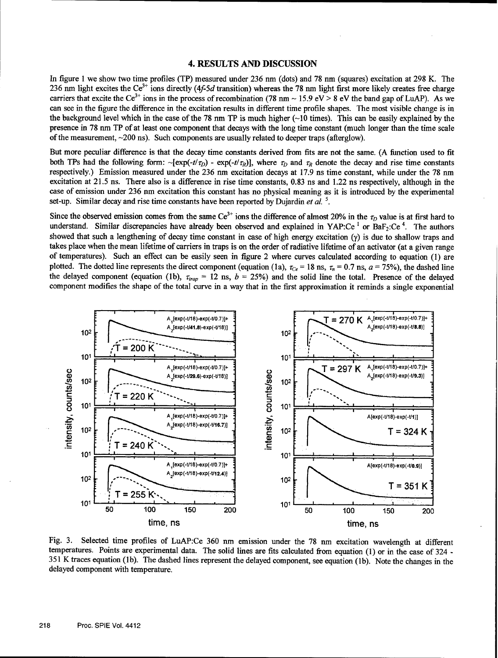#### 4. **RESULTS AND DISCUSSION**

In figure 1 we show two time profiles (TP) measured under 236 nm (dots) and 78 nm (squares) excitation at 298 K. The 236 nm light excites the Ce<sup>3+</sup> ions directly (4*f-5d* transition) whereas the 78 nm light first more likely creates free charge carriers that excite the Ce<sup>3</sup> ÷ ions in the process of recombination (78 um **-** 15.9 eV > 8 eV the band gap of LuAP). As we can see in the figure the difference in the excitation results in different time profile shapes. The most visible change is in the background level which in the case of the 78 nm TP is much higher  $\sim 10$  times). This can be easily explained by the presence in 78 rnm TP of at least one component that decays with the long time constant (much longer than the time scale of the measurement, -200 ns). Such components are usually related to deeper traps (afterglow).

But more peculiar difference is that the decay time constants derived from fits are not the same. (A function used to fit both TPs had the following form:  $-\frac{\sec p(-t/\tau_D)}{2}$  -  $\exp(-t/\tau_D)$ , where  $\tau_D$  and  $\tau_R$  denote the decay and rise time constants respectively.) Emission measured under the 236 nm excitation decays at 17.9 ns time constant, while under the 78 rum excitation at 21.5 ns. There also is a difference in rise time constants, 0.83 ns and 1.22 ns respectively, although in the case of emission under 236 nm excitation this constant has no physical meaning as it is introduced by the experimental set-up. Similar decay and rise time constants have been reported by Dujardin *et al. 5.*

Since the observed emission comes from the same  $Ce^{3+}$  ions the difference of almost 20% in the  $\tau_D$  value is at first hard to understand. Similar discrepancies have already been observed and explained in YAP:Ce<sup>1</sup> or BaF<sub>2</sub>:Ce<sup>4</sup>. The authors showed that such a lengthening of decay time constant in case of high energy excitation **(y)** is due to shallow traps and takes place when the mean lifetime of carriers in traps is on the order of radiative lifetime of an activator (at a given range<br>of temperatures). Such an effect can be easily seen in figure 2 where curves calculated accord plotted. The dotted line represents the direct component (equation (1a),  $\tau_{Ce}$  = 18 ns,  $\tau_n$  = 0.7 ns,  $a$  = 75%), the dashed line the delayed component (equation (1b),  $\tau_{trap} = 12$  ns,  $b = 25\%$ ) and the solid line the total. Presence of the delayed component modifies the shape of the total curve in a way that in the first approximation it reminds a single exponential



Fig. 3. Selected time profiles of LuAP:Ce 360 nm emission under the 78 nm excitation wavelength at different temperatures. Points are experimental data. The solid lines are fits calculated from equation (1) or in the case of 324 **-** 351 K traces equation (lb). The dashed lines represent the delayed component, see equation (1b). Note the changes in the delayed component with temperature.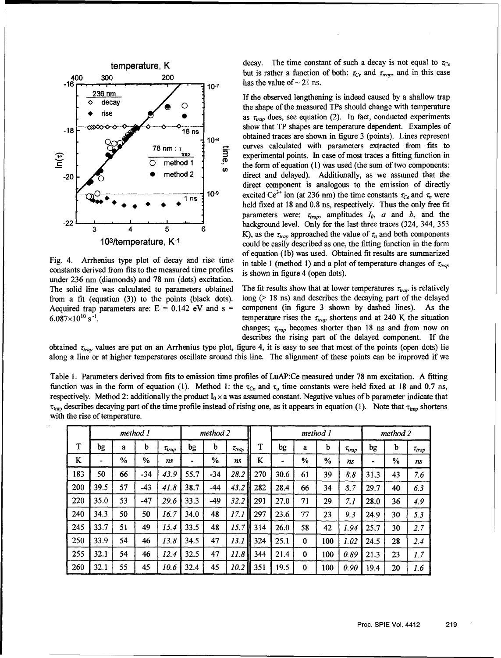

constants derived from fits to the measured time profiles is shown in figure 4 (open dots). under 236 nm (diamonds) and 78 nm (dots) excitation.

temperature, K decay. The time constant of such a decay is not equal to  $\tau_{Ce}$ <sup>400</sup>**<sup>300</sup>**200 but is rather a function of both: -re and *rZrap,* and in this case has the value of  $\sim$  21 ns.

236 nm<br>decay **1.235 If the observed lengthening** is indeed caused by a shallow trap<br>the shape of the measured TPs should change with temperature **\*** rise , as *i-rap* does, see equation (2). In fact, conducted experiments **--18 cC•"-0 0** *-* - -o--- *-1----. .-* show that TP shapes are temperature dependent. Examples of **1 08 10-** obtained traces are shown in figure 3 (points). Lines represent **78** nm :  $\frac{1}{2}$  curves calculated with parameters extracted from fits to experimental points. In case of most traces a fitting function in  $\frac{1}{2}$  experimental points. In case of most traces a fitting function in<br>method 1 C **0** method **1** *S* the form of equation (1) was used (the sum of two components: -20 **-** method 2 direct and delayed). Additionally, as we assumed that the direct component is analogous to the emission of directly 10<sup>-9</sup> excited Ce<sup>3+</sup> ion (at 236 nm) the time constants  $\tau_{C_e}$  and  $\tau_n$  were 1 ns  $\frac{1}{2}$  is the excreance  $\frac{1}{2}$  for  $\frac{1}{2}$  and  $\frac{1}{2}$  and  $\frac{1}{2}$  held fixed at 18 and 0.8 ns, respectively. Thus the only free fit parameters were:  $\tau_{trap}$ , amplitudes  $I_0$ ,  $a$  and  $b$ , and the -22 4 **5** background level. Only for the last three traces (324, 344, 353 K), as the r,,rp approached the value of r, and both components 103/temperature, K<sup>-1</sup> could be easily described as one, the fitting function in the form of equation (lb) was used. Obtained fit results are summarized Fig. 4. Arrhenius type plot of decay and rise time in table 1 (method 1) and a plot of temperature changes of *Zrarp*

The solid line was calculated to parameters obtained The fit results show that at lower temperatures  $\tau_{trap}$  is relatively from a fit (equation (3)) to the points (black dots). long (> 18 ns) and describes the decaying part of the delayed Acquired trap parameters are:  $E = 0.142$  eV and  $s =$  component (in figure 3 shown by dashed lines). As th component (in figure 3 shown by dashed lines). As the  $6.087 \times 10^{10}$  s<sup>-1</sup>. **temperature rises the**  $\tau_{trap}$  **shortens and at 240 K the situation** changes;  $\tau_{trap}$  becomes shorter than 18 ns and from now on describes the rising part of the delayed component. If the

obtained  $\tau_{trap}$  values are put on an Arrhenius type plot, figure 4, it is easy to see that most of the points (open dots) lie along a line or at higher temperatures oscillate around this line. The alignment of these points can be improved if we

Table 1. Parameters derived from fits to emission time profiles of LuAP:Ce measured under 78 nm excitation. A fitting function was in the form of equation (1). Method 1: the  $\tau_{ce}$  and  $\tau_n$  time constants were held fixed at 18 and 0.7 ns, respectively. Method 2: additionally the product  $I_0 \times a$  was assumed constant. Negative values of b parameter indicate that  $\tau_{trap}$  describes decaying part of the time profile instead of rising one, as it appears in equation (1). Note that  $\tau_{trap}$  shortens with the rise of temperature.

|         | method 1 |               |       |               | method 2 |       |               |     | method 1 |               |               |               | method 2 |      |               |
|---------|----------|---------------|-------|---------------|----------|-------|---------------|-----|----------|---------------|---------------|---------------|----------|------|---------------|
| T<br>л. | bg       | a             | b     | $\tau_{trap}$ | bg       | b     | $\tau_{trap}$ | T   | bg       | a             | b             | $\tau_{trap}$ | bg       | b    | $\tau_{trap}$ |
| ĸ       |          | $\frac{0}{0}$ | %     | ns            | ٠        | $\%$  | ns            | K   |          | $\frac{0}{0}$ | $\frac{0}{0}$ | ns            | ٠        | $\%$ | ns            |
| 183     | 50       | 66            | -34   | 43.9          | 55.7     | $-34$ | 28.2          | 270 | 30.6     | 61            | 39            | 8.8           | 31.3     | 43   | 7.6           |
| 200     | 39.5     | 57            | -43   | 41.8          | 38.7     | $-44$ | 43.2          | 282 | 28.4     | 66            | 34            | 8.7           | 29.7     | 40   | 6.3           |
| 220     | 35.0     | 53            | $-47$ | 29.6          | 33.3     | -49   | 32.2          | 291 | 27.0     | 71            | 29            | 7.1           | 28.0     | 36   | 4.9           |
| 240     | 34.3     | 50            | 50    | 16.7          | 34.0     | 48    | 17.1          | 297 | 23.6     | 77            | 23            | 9.3           | 24.9     | 30   | 5.3           |
| 245     | 33.7     | 51            | 49    | 15.4          | 33.5     | 48    | 15.7          | 314 | 26.0     | 58            | 42            | 1.94          | 25.7     | 30   | 2.7           |
| 250     | 33.9     | 54            | 46    | 13.8          | 34.5     | 47    | 13.1          | 324 | 25.1     | $\bf{0}$      | 100           | 1.02          | 24.5     | 28   | 2.4           |
| 255     | 32.1     | 54            | 46    | 12.4          | 32.5     | 47    | 11.8          | 344 | 21.4     | $\bf{0}$      | 100           | 0.89          | 21.3     | 23   | 1.7           |
| 260     | 32.1     | 55            | 45    | 10.6          | 32.4     | 45    | 10.2          | 351 | 19.5     | $\bf{0}$      | 100           | 0.90          | 19.4     | 20   | 1.6           |